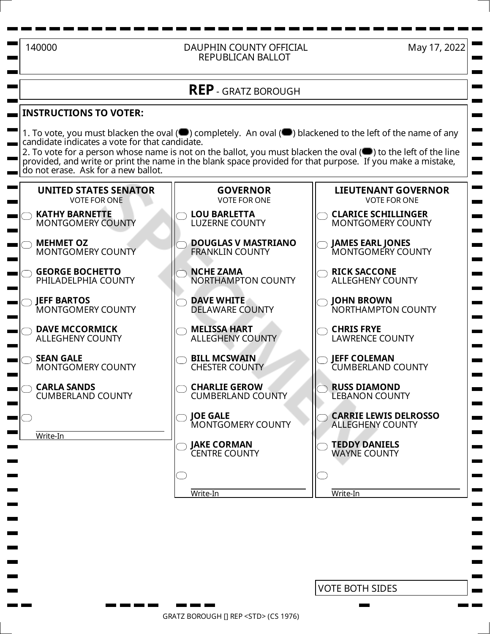## 140000 DAUPHIN COUNTY OFFICIAL REPUBLICAN BALLOT

May 17, 2022

## **REP**- GRATZ BOROUGH

## **INSTRUCTIONS TO VOTER:**

1. To vote, you must blacken the oval  $(\blacksquare)$  completely. An oval  $(\blacksquare)$  blackened to the left of the name of any candidate indicates a vote for that candidate.

2. To vote for a person whose name is not on the ballot, you must blacken the oval  $($ **)** to the left of the line provided, and write or print the name in the blank space provided for that purpose. If you make a mistake, do not erase. Ask for a new ballot.